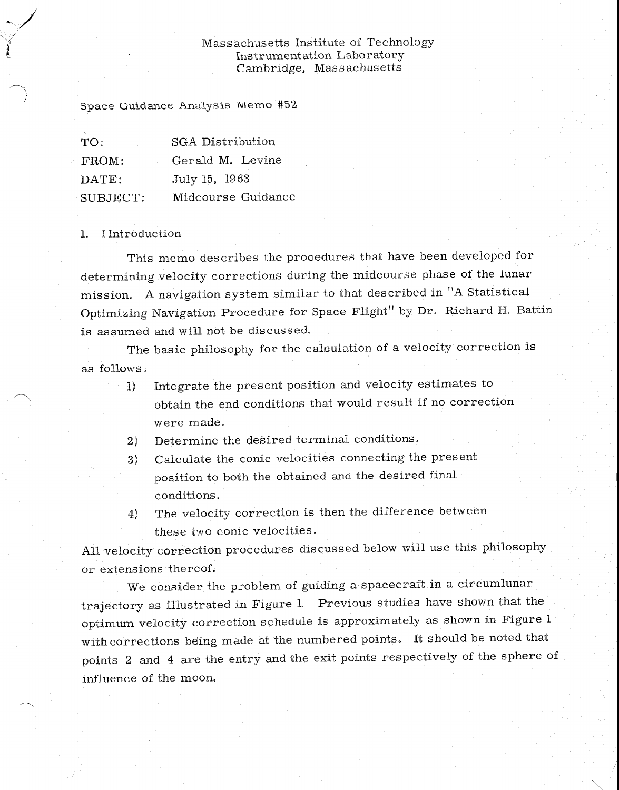#### Massachusetts Institute of Technology Instrumentation Laboratory Cambridge, Mass achusetts

Space Guidance Analysis Memo #52

| TO:      | <b>SGA Distribution</b> |  |  |  |  |
|----------|-------------------------|--|--|--|--|
| FROM:    | Gerald M. Levine        |  |  |  |  |
| DATE:    | July 15, 1963           |  |  |  |  |
| SUBJECT: | Midcourse Guidance      |  |  |  |  |

#### 1. Introduction

This memo describes the procedures that have been developed for determining velocity corrections during the midcourse phase of the lunar mission. A navigation system similar to that described in "A Statistical Optimizing Navigation Procedure for Space Flight" by Dr. Richard H. Battin is assumed and will not be discussed.

The basic philosophy for the calculation of a velocity correction is as follows:

1) Integrate the present position and velocity estimates to obtain the end conditions that would result if no correction were made.

2) Determine the desired terminal conditions.

- 3) Calculate the conic velocities connecting the present position to both the obtained and the desired final conditions.
- The velocity correction is then the difference between  $4)$ these two conic velocities.

All velocity correction procedures discussed below will use this philosophy or extensions thereof.

We consider the problem of guiding a spacecraft in a circumlunar trajectory as illustrated in Figure 1. Previous studies have shown that the optimum velocity correction schedule is approximately as shown in Figure <sup>1</sup> with corrections being made at the numbered points. It should be noted that points 2 and 4 are the entry and the exit points respectively of the sphere of influence of the moon.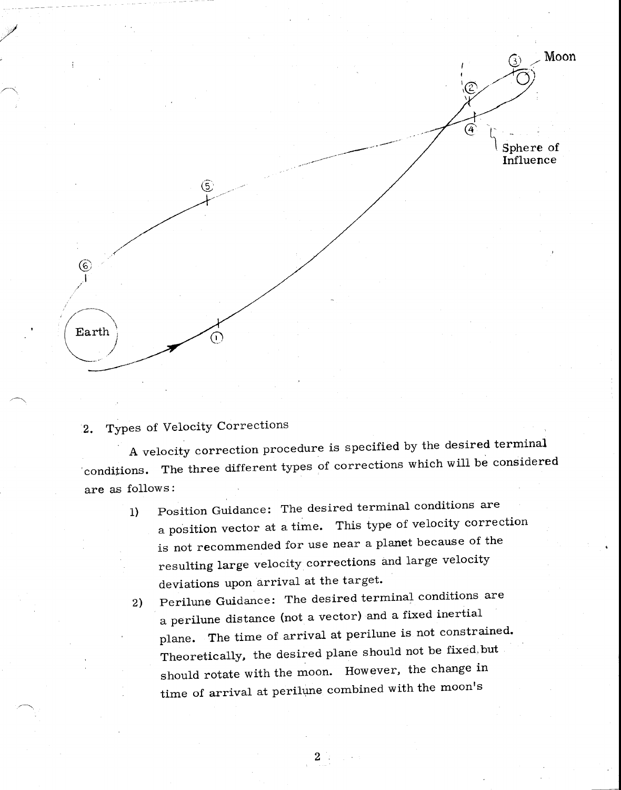

# 2. Types of Velocity Corrections

A velocity correction procedure is specified by the desired terminal 'conditions. The three different types of corrections which will be considered are as follows:

- 1) Position Guidance: The desired terminal conditions are a position vector at a time. This type of velocity correction is not recommended for use near a planet because of the resulting large velocity corrections and large velocity deviations upon arrival at the target.
- Perilune Guidance: The desired terminal conditions are  $2)$ a perilune distance (not a vector) and a fixed inertial plane. The time of arrival at perilune is not constrained. Theoretically, the desired plane should not be fixed,but should rotate with the moon. However, the change in time of arrival at perilune combined with the moon's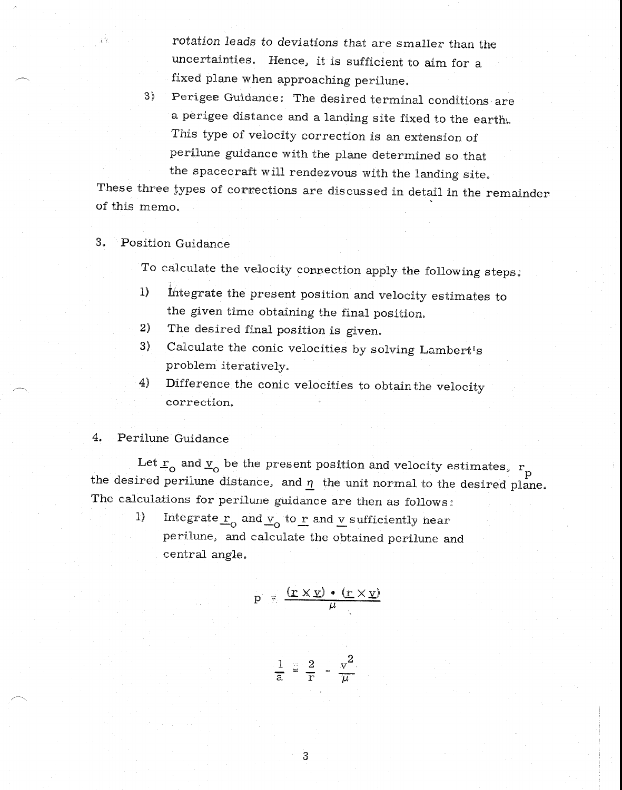rotation leads to deviations that are smaller than the uncertainties. Hence, it is sufficient to aim for a fixed plane when approaching perilune.

3) Perigee Guidance: The desired terminal conditions are a perigee distance and a landing site fixed to the earth:. This type of velocity correction is an extension of perilune guidance with the plane determined so that the spacecraft will rendezvous with the landing site.

These three types of corrections are discussed in detail in the remainder of this memo.

#### 3. Position Guidance

記忆

To calculate the velocity connection apply the following steps:

- 1) integrate the present position and velocity estimates to the given time obtaining the final position.
- 2) The desired final position is given.
- 3) Calculate the conic velocities by solving Lambert's problem iteratively.
- Difference the conic velocities to obtain the velocity 4) correction.

#### 4. Perilune Guidance

Let  $\underline{r}_{\rm o}$  and  $\underline{v}_{\rm o}$  be the present position and velocity estimates,  $\frac{r_{\rm o}}{l}$ the desired perilune distance, and  $\eta$  the unit normal to the desired plane. The calculations for perilune guidance are then as follows:

> 1) Integrate  $\underline{r}_0$  and  $\underline{v}_0$  to  $\underline{r}$  and  $\underline{v}$  sufficiently near perilune, and calculate the obtained perilune and central angle.

$$
p = \frac{(\underline{r} \times \underline{v}) \cdot (\underline{r} \times \underline{v})}{\mu}
$$

$$
\frac{1}{a} = \frac{2}{r} - \frac{v^2}{\mu}
$$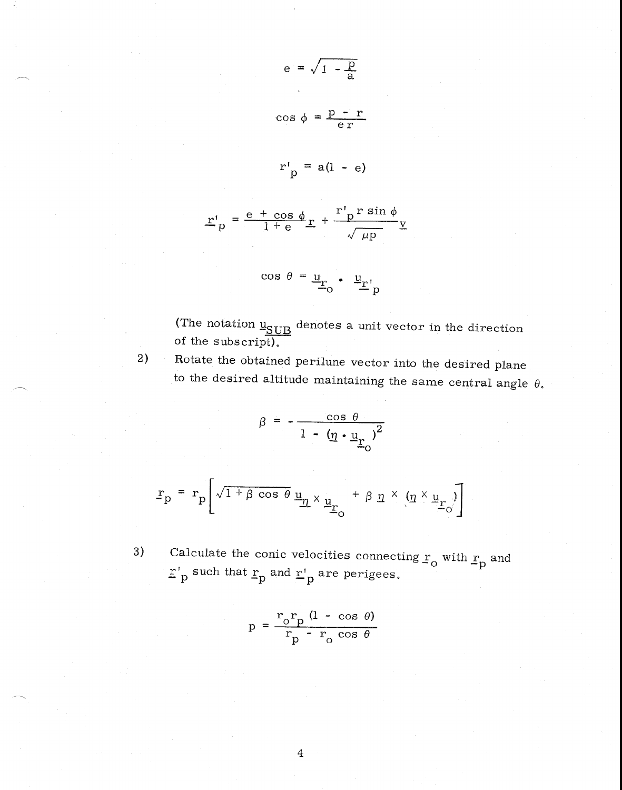$$
e = \sqrt{1 - \frac{p}{a}}
$$
  

$$
\cos \phi = \frac{p - r}{er}
$$
  

$$
r'_{p} = a(1 - e)
$$

$$
\underline{\mathbf{r}'}_{\mathrm{p}} = \frac{\mathrm{e} + \cos \phi}{1 + \mathrm{e}} \underline{\mathbf{r}} + \frac{\mathbf{r'}_{\mathrm{p}} \mathbf{r} \sin \phi}{\sqrt{\mu \mathrm{p}}} \underline{\mathbf{v}}
$$

$$
\cos \theta = \underline{\mathbf{u}}_{\mathbf{r}_0} \bullet \underline{\mathbf{u}}_{\mathbf{r}'} \mathbf{p}
$$

(The notation  $\underline{u_{SUB}}$  denotes a unit vector in the direction of the subscript).

2) Rotate the obtained perilune vector into the desired plane to the desired altitude maintaining the same central angle  $\theta$ .

$$
\beta = -\frac{\cos \theta}{1 - (\underline{\eta} \cdot \underline{\mathbf{u}}_{\underline{\mathbf{r}}})^2}
$$

$$
\underline{\mathbf{r}}_{\mathbf{p}} = \mathbf{r}_{\mathbf{p}} \left[ \sqrt{1 + \beta \cos \theta} \underline{\mathbf{u}}_{\underline{\eta}} \times \underline{\mathbf{u}}_{\underline{\mathbf{r}}_{\mathbf{O}}} + \beta \underline{\eta} \times (\underline{\eta} \times \underline{\mathbf{u}}_{\underline{\mathbf{r}}_{\mathbf{O}}}) \right]
$$

3) Calculate the conic velocities connecting  $\mathbf{r}_{\mathbf{o}}$  with  $\mathbf{r}_{\mathbf{p}}$  and  $\mathbf{r}'$  such that  $\mathbf{r}_p$  and  $\mathbf{r}'_p$  are perigees.

$$
p = \frac{r_0 r_p (1 - \cos \theta)}{r_p - r_0 \cos \theta}
$$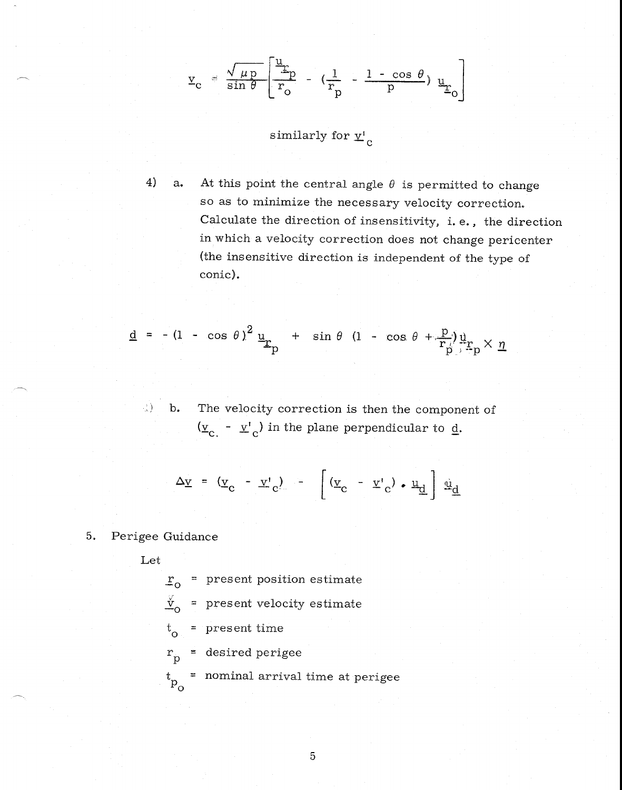$$
\underline{v}_{c} = \frac{\sqrt{\mu p}}{\sin \theta} \left[ \frac{\underline{u}_{r}}{r_{o}} - \left( \frac{1}{r_{p}} - \frac{1 - \cos \theta}{p} \right) \underline{u}_{r_{o}} \right]
$$

similarly for  $\underline{v'}_c$ 

4) a. At this point the central angle  $\theta$  is permitted to change so as to minimize the necessary velocity correction. Calculate the direction of insensitivity, i. e., the direction in which a velocity correction does not change pericenter (the insensitive direction is independent of the type of conic).

$$
\underline{d} = -(1 - \cos \theta)^2 \underline{u}_{r_p} + \sin \theta (1 - \cos \theta + \frac{p}{r_p}) \underline{u}_{r_p} \times \underline{\eta}
$$

b. The velocity correction is then the component of  $(\underline{v}_c - \underline{v}_c)$  in the plane perpendicular to  $\underline{d}$ .

$$
\Delta \underline{v} = (\underline{v}_c - \underline{v}_c) - \left[ (\underline{v}_c - \underline{v}_c) \cdot \underline{u}_d \right] \underline{u}_d
$$

#### 5. Perigee Guidance

Let

- r o present position estimate
- $\frac{v}{v_o}$  = present velocity estimate

t o = present time

 $r_p$  = desired perigee

= nominal arrival time at perigee  $\mathbf{t}_{\rm p_{_{O}}}$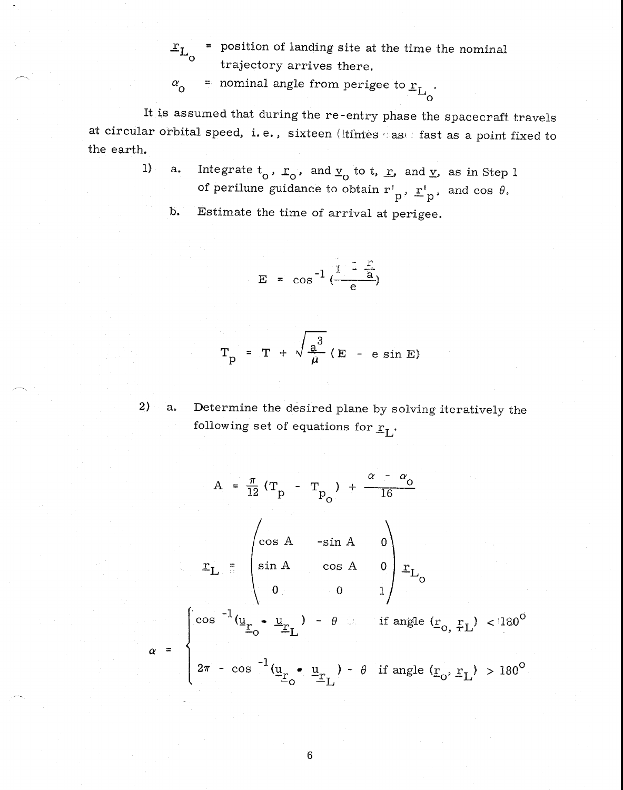$r_{L_{\alpha}}$  = position of landing site at the time the nominal trajectory arrives there.

 $\alpha$ <sup>o</sup> = nominal angle from perigee to  $r_{L_0}$ .

It is assumed that during the re-entry phase the spacecraft travels at circular orbital speed, i.e., sixteen (ltimes case fast as a point fixed to the earth.

> 1) a. Integrate  $t_0$ ,  $r_0$ , and  $r_0$  to t, r, and  $r$ , as in Step 1 of perilune guidance to obtain  $r'_{p}$ ,  $r'_{p}$ , and cos  $\theta$ .

b. Estimate the time of arrival at perigee.

$$
E = \cos^{-1} \left( \frac{1 - \frac{r}{a}}{e} \right)
$$

$$
T_p = T + \sqrt{\frac{a^3}{\mu}} (E - e \sin E)
$$

 $2) a_{*}$ 

Determine the desired plane by solving iteratively the following set of equations for  $r_L$ .

$$
A = \frac{\pi}{12} (T_p - T_{p_0}) + \frac{\alpha - \alpha_0}{16}
$$
  

$$
\Sigma_L = \begin{pmatrix} \cos A & -\sin A & 0 \\ \sin A & \cos A & 0 \\ 0 & 0 & 1 \end{pmatrix} \Sigma_{L_0}
$$
  

$$
\alpha = \begin{cases} \cos^{-1} (\underline{u}_r \cdot \underline{u}_L) - \theta & \text{if angle } (\underline{r}_0, \underline{r}_L) < 180^\circ \\ 2\pi - \cos^{-1} (\underline{u}_r \cdot \underline{u}_L) - \theta & \text{if angle } (\underline{r}_0, \underline{r}_L) > 180^\circ \end{cases}
$$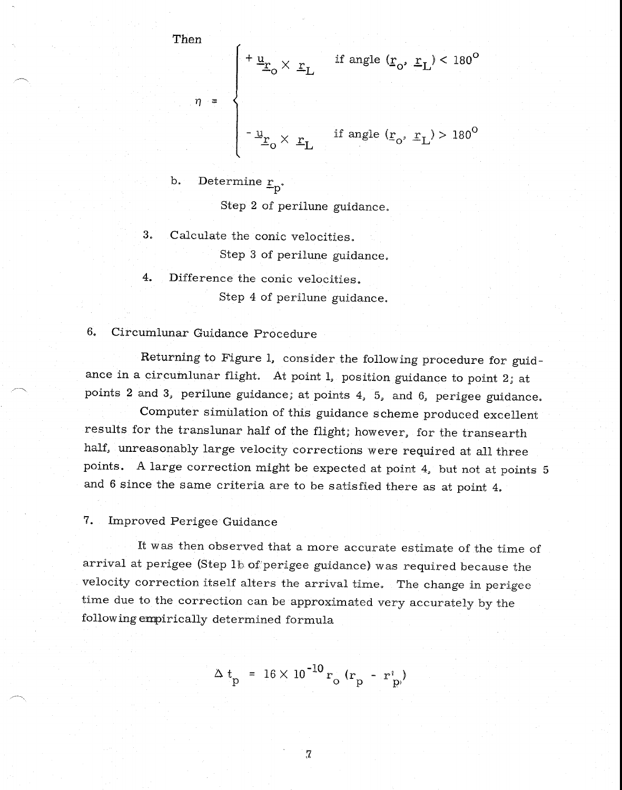Then  
\n
$$
\eta = \begin{cases}\n+ \underline{u}_{r_0} \times \underline{r}_L & \text{if angle } (\underline{r}_0, \underline{r}_L) < 180^\circ \\
-\underline{u}_{r_0} \times \underline{r}_L & \text{if angle } (\underline{r}_0, \underline{r}_L) > 180^\circ\n\end{cases}
$$

b. Determine  $r_p$ 

Step 2 of perilune guidance.

3. Calculate the conic velocities. Step 3 of perilune guidance.

4. Difference the conic velocities.

Step 4 of perilune guidance.

6, Circumlunar Guidance Procedure

Returning to Figure 1, consider the following procedure for guidance in a circumlunar flight. At point  $1$ , position guidance to point  $2$ ; at points 2 and 3, perilune guidance; at points 4, 5, and 6, perigee guidance.

Computer simulation of this guidance scheme produced excellent results for the translunar half of the flight; however, for the transearth half, unreasonably large velocity corrections were required at all three points. A large correction might be expected at point 4, but not at points 5 and 6 since the same criteria are to be satisfied there as at point 4.

7. Improved Perigee Guidance

It was then observed that a more accurate estimate of the time of arrival at perigee (Step lb of perigee guidance) was required because the velocity correction itself alters the arrival time. The change in perigee time due to the correction can be approximated very accurately by the following empirically determined formula

$$
\Delta t_{\rm p} = 16 \times 10^{-10} r_{\rm o} (r_{\rm p} - r_{\rm p}^{\rm i})
$$

 $7 \,$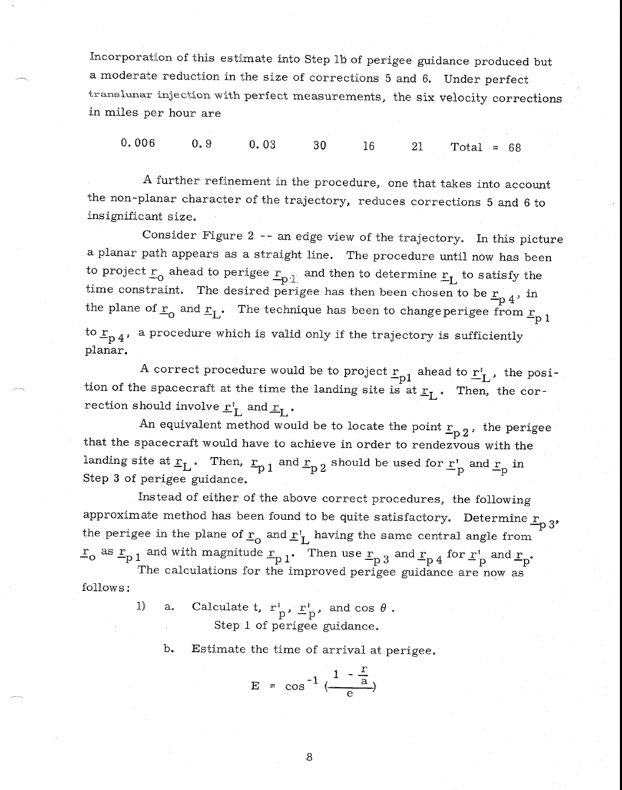Incorporation of this estimate into Step lb of perigee guidance produced but a moderate reduction in the size of corrections 5 and 6. Under perfect translunar injection with perfect measurements, the six velocity corrections in miles per hour are

0. 006 0. 9 0. 03 30 16 21 Total = 68

A further refinement in the procedure, one that takes into account the non-planar character of the trajectory, reduces corrections 5 and 6 to insignificant size.

Consider Figure 2 -- an edge view of the trajectory. In this picture a planar path appears as a straight line. The procedure until now has been to project  $\underline{r}_0$  ahead to perigee  $\underline{r}_{p\perp}$  and then to determine  $\underline{r}_L$  to satisfy the time constraint. The determine  $\underline{r}_L$ time constraint. The desired perigee has then been chosen to be  $r_{p,4}$ , in the plane of  $\underline{r}_0$  and  $\underline{r}_L$ . The technique has been to change perigee from  $\underline{r}_p$  1 to  $r_{p\,4}$ , a procedure which is valid only if the trajectory is sufficiently planar.

A correct procedure would be to project  $\mathbf{r_{n1}}$  ahead to  $\mathbf{r_{i}^{t}}$  , the position of the spacecraft at the time the landing site is at  $\underline{r}_1$ . Then, the correction should involve  $r^{\prime}_{\rm L}$  and  $r_{\rm L}$ .

An equivalent method would be to locate the point  $r_{p,2}$ , the perigee that the spacecraft would have to achieve in order to rendezvous with the landing site at  $r_L$ . Then,  $r_{p1}$  and  $r_{p2}$  should be used for  $r'_p$  and  $r_p$  in Step 3 of perigee guidance.

Instead of either of the above correct procedures, the following approximate method has been found to be quite satisfactory. Determine  $r_{p,3}$ , the perigee in the plane of  $r_0$  and  $r'_L$  having the same central angle from  $r_o$  as  $r_{p1}$  and with magnitude  $r_{p1}$ . Then use  $r_{p3}$  and  $r_{p4}$  for  $r'_{p}$  and  $r_{p}$ .

The calculations for the improved perigee guidance are now as follows:

> 1) a. Calculate t,  $r_p^{\dagger}$ ,  $r_p^{\dagger}$ , and cos  $\theta$ . Step 1 of perigee guidance.

b. Estimate the time of arrival at perigee.

$$
E = \cos^{-1} \left( \frac{1 - \frac{r}{a}}{e} \right)
$$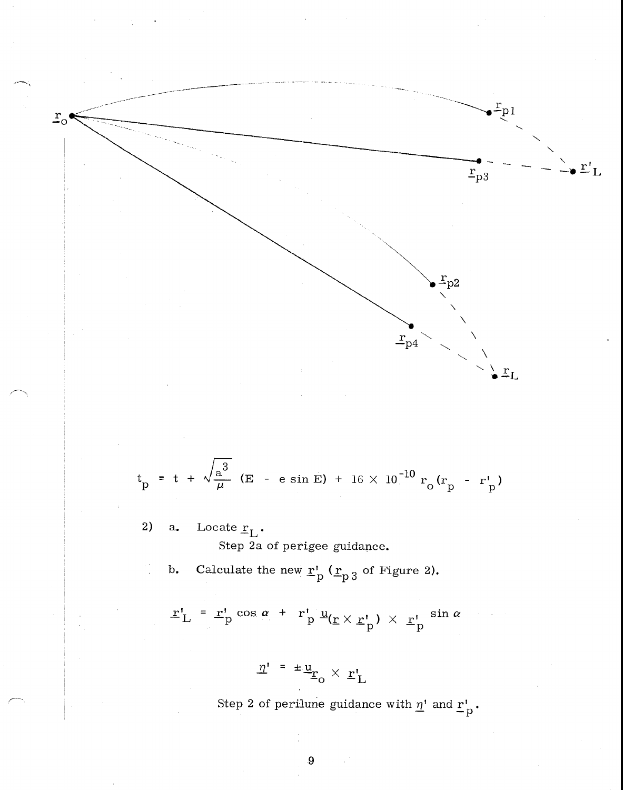

$$
t_p = t + \sqrt{\frac{a^3}{\mu}}
$$
 (E - e sin E) + 16 × 10<sup>-10</sup> r<sub>o</sub> (r<sub>p</sub> - r<sub>p</sub><sup>t</sup>)

- 2) a. Locate  $r_L$ . Step 2a of perigee guidance.
	- b. Calculate the new  $r'_{p}$  ( $r_{p3}$  of Figure 2).

$$
\mathbf{r}'_{\mathbf{L}} = \mathbf{r}'_{\mathbf{p}} \cos \alpha + r'_{\mathbf{p}} \underline{\mathbf{u}}_{(\mathbf{r} \times \mathbf{r}'_{\mathbf{p}})} \times \underline{\mathbf{r}}'_{\mathbf{p}} \sin \alpha
$$

$$
\underline{\eta'} = \pm \underline{\underline{u}}_{\underline{r}_0} \times \underline{r}'_{\underline{L}}
$$

Step 2 of perilune guidance with  $\underline{n}^1$  and  $\underline{r}^1_{\overline{p}}$ .

 $\overline{9}$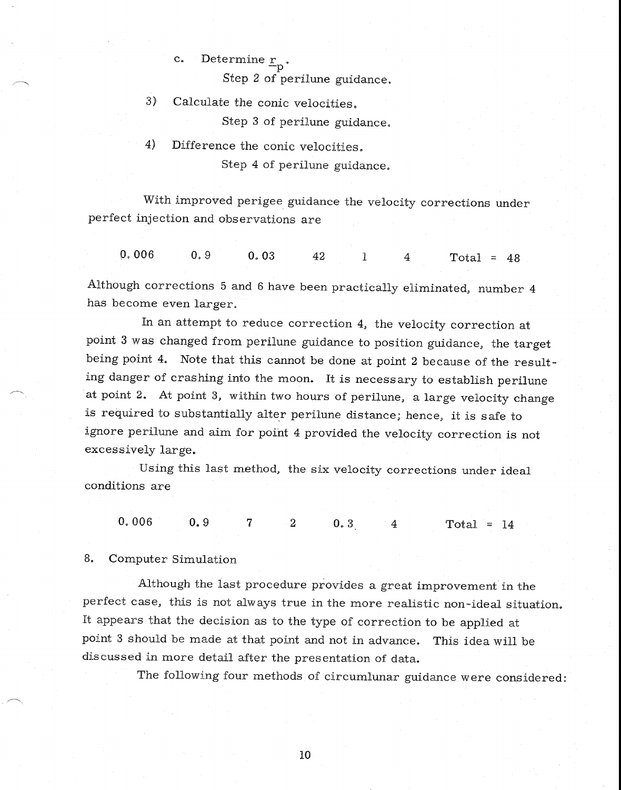# c. Determine  $r_{\rm p}$ .

Step 2 of perilune guidance.

- 3) Calculate the conic velocities. Step 3 of perilune guidance.
- 4) Difference the conic velocities. Step 4 of perilune guidance.

With improved perigee guidance the velocity corrections under perfect injection and observations are

0. 006 0.9 0.03 42 1 4 Total = 48

Although corrections 5 and 6 have been practically eliminated, number 4 has become even larger.

In an attempt to reduce correction 4, the velocity correction at point 3 was changed from perilune guidance to position guidance, the target being point 4. Note that this cannot be done at point 2 because of the resulting danger of crashing into the moon. It is necessary to establish perilune at point 2. At point 3, within two hours of perilune, a large velocity change is required to substantially alter perilune distance; hence, it is safe to ignore perilune and aim for point 4 provided the velocity correction is not excessively large.

Using this last method, the six velocity corrections under ideal conditions are

0.006 0.9 7 2 0.3 4 Total = 14

8. Computer Simulation

Although the last procedure provides a great improvement in the perfect case, this is not always true in the more realistic non-ideal situation. It appears that the decision as to the type of correction to be applied at point 3 should be made at that point and not in advance. This idea will be discussed in more detail after the presentation of data.

The following four methods of circumlunar guidance were considered: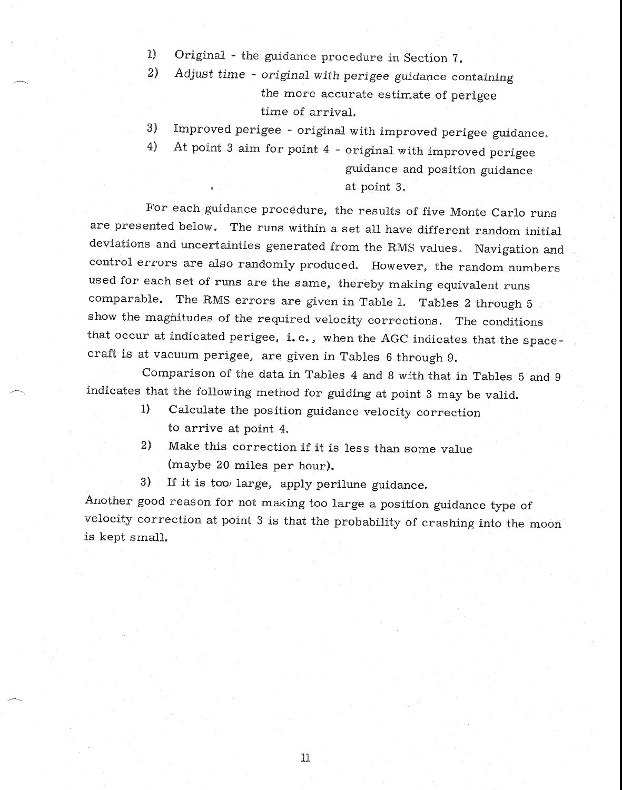- I) Original the guidance procedure in Section 7.
- 2) Adjust time *original* with perigee guidance containing the more accurate estimate of perigee time of arrival.
- 3) Improved perigee original with improved perigee guidance.
- 4) At point 3 aim for point 4 original with improved perigee

guidance and position guidance at point 3.

For each guidance procedure, the results of five Monte Carlo runs are presented below. The runs within a set all have different random initial deviations and uncertainties generated from the RMS values. Navigation and control errors are also randomly produced. However, the random numbers used for each set of runs are the same, thereby making equivalent runs comparable. The RMS errors are given in Table 1. Tables 2 through 5 show the magnitudes of the required velocity corrections. The conditions that occur at indicated perigee, i. e., when the AGC indicates that the spacecraft is at vacuum perigee, are given in Tables 6 through 9.

Comparison of the data in Tables 4 and 8 with that in Tables 5 and 9 indicates that the following method for guiding at point 3 may be valid.

- 1) Calculate the position guidance velocity correction to arrive at point 4.
- 2) Make this correction if it is less than some value (maybe 20 miles per hour).
- 3) If it is too large, apply perilune guidance.

Another good reason for not making too large a position guidance type of velocity correction at point 3 is that the probability of crashing into the moon is kept small.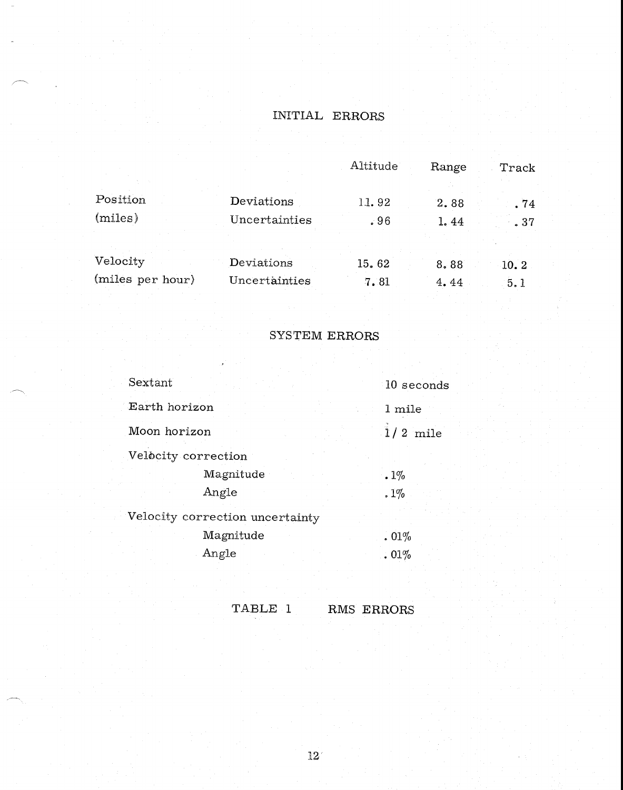# INITIAL ERRORS

|                  |               | Altitude      | Range        | Track       |
|------------------|---------------|---------------|--------------|-------------|
| Position         | Deviations    | 11.92         | 2.88         | . 74        |
| (miles)          | Uncertainties | .96           | 1.44         | .37         |
| Velocity         | Deviations    |               |              |             |
| (miles per hour) | Uncertainties | 15.62<br>7.81 | 8.88<br>4.44 | 10.2<br>5.1 |
|                  |               |               |              |             |

## SYSTEM ERRORS

| Sextant                         | 10 seconds |  |
|---------------------------------|------------|--|
| Earth horizon                   | 1 mile     |  |
| Moon horizon                    | $1/2$ mile |  |
| Velocity correction             |            |  |
| Magnitude                       | $.1\%$     |  |
| Angle                           | $.1\%$     |  |
| Velocity correction uncertainty |            |  |
| Magnitude                       | .01%       |  |
| Angle                           | .01%       |  |

TABLE 1 RMS ERRORS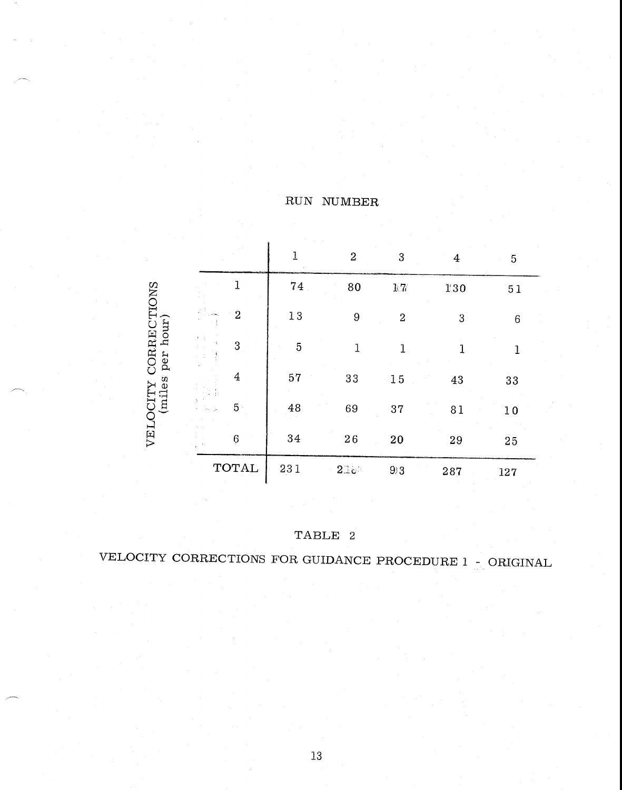|                                                         |                             |                | $\mathbf{1}$ | $\boldsymbol{2}$ | 3                | $\overline{4}$   | 5   |
|---------------------------------------------------------|-----------------------------|----------------|--------------|------------------|------------------|------------------|-----|
|                                                         |                             | 1              | $7\,4$       | 80               | $1/7/$           | 130              | 51  |
|                                                         |                             | $\overline{2}$ | 13           | $\boldsymbol{9}$ | $\boldsymbol{2}$ | $\boldsymbol{3}$ | 6   |
| CORRECTIONS                                             | $\mathcal{L}_{\mathcal{L}}$ | 3              | 5            | 1                | 1                | 1                |     |
| (miles per hour)<br>$\overline{4}$<br>VELOCITY<br>$5 -$ |                             | 57             | 33           | 15               | 43               | 33               |     |
|                                                         |                             | 48             | 69           | 37               | 81               | 10               |     |
|                                                         |                             | 6              | 34           | $2\sqrt{6}$      | 20               | 29               | 25  |
|                                                         |                             | <b>TOTAL</b>   | 231          | $2\mathbb{R}e$   | 93               | 287              | 127 |

TABLE 2

VELOCITY CORRECTIONS FOR GUIDANCE PROCEDURE 1 - ORIGINAL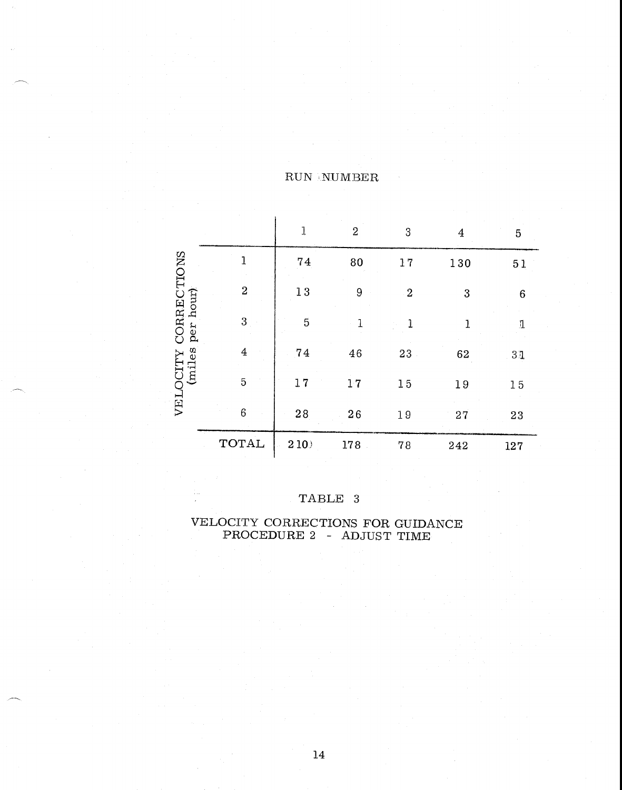|                          |                         | $\mathbf{1}$   | $\boldsymbol{2}$ | 3         | $\overline{4}$ | 5           |
|--------------------------|-------------------------|----------------|------------------|-----------|----------------|-------------|
|                          | 1                       | 74             | 80               | 17        | 130            | 51          |
|                          | $\overline{\mathbf{c}}$ | $1\,3$         | 9                | $\cdot$ 2 | 3              | 6           |
| CORRECTIONS<br>per hour) | $\sqrt{3}$              | $\overline{5}$ | 1                | 1         | 1              | $\mathbf 1$ |
| (miles                   | $\overline{4}$          | 74             | 46               | 23        | 62             | 31          |
| VELOCITY                 | $\overline{5}$          | 17             | 17               | 15        | 19             | $1\,5$      |
|                          | 6                       | 28             | 26               | 19        | 27             | 23          |
|                          | <b>TOTAL</b>            | 210            | 178              | 78        | 242            | 127         |

### TABLE 3

VELOCITY CORRECTIONS FOR GUIDANCE PROCEDURE 2 - ADJUST TIME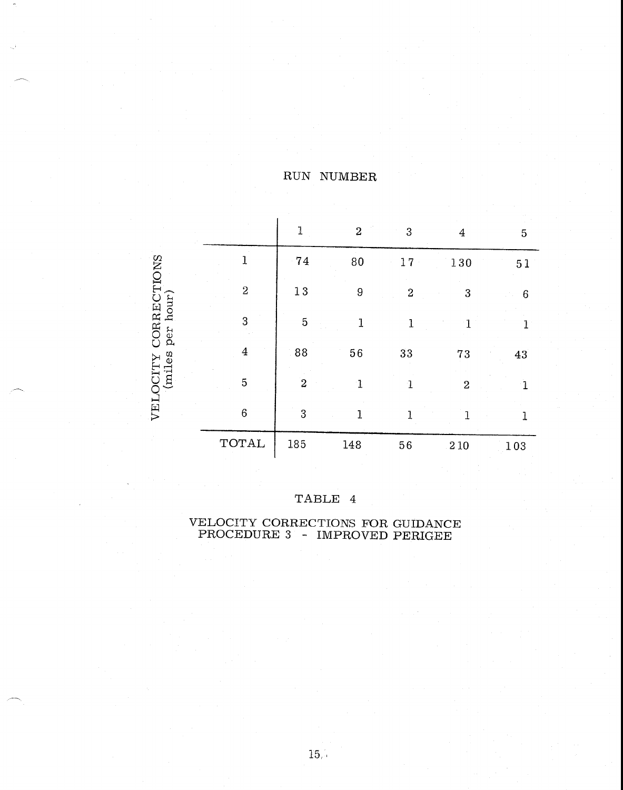|                          |                | 1              | $\overline{2}$ | 3                | 4              | 5   |
|--------------------------|----------------|----------------|----------------|------------------|----------------|-----|
|                          |                | 74             | 80             | 17               | 130            | 51  |
|                          | 2              | $1\,3$         | 9              | $\boldsymbol{2}$ | 3              | 6   |
| CORRECTIONS<br>per hour) | 3              | 5              | 1              | 1                |                | 1   |
| (miles                   | $\overline{4}$ | 88             | 56             | 33               | $7\sqrt{3}$    | 43  |
| VELOCITY                 | 5              | $\overline{2}$ | $\mathbf{1}$   | 1                | $\overline{2}$ |     |
|                          | 6              | 3              | 1              | 1                |                |     |
|                          | TOTAL          | 185            | 148            | 56               | 210            | 103 |

 $\mathbf{r}$ 

## TABLE 4

#### VELOCITY CORRECTIONS FOR GUIDANCE PROCEDURE 3 - IMPROVED PERIGEE

 $15, 1$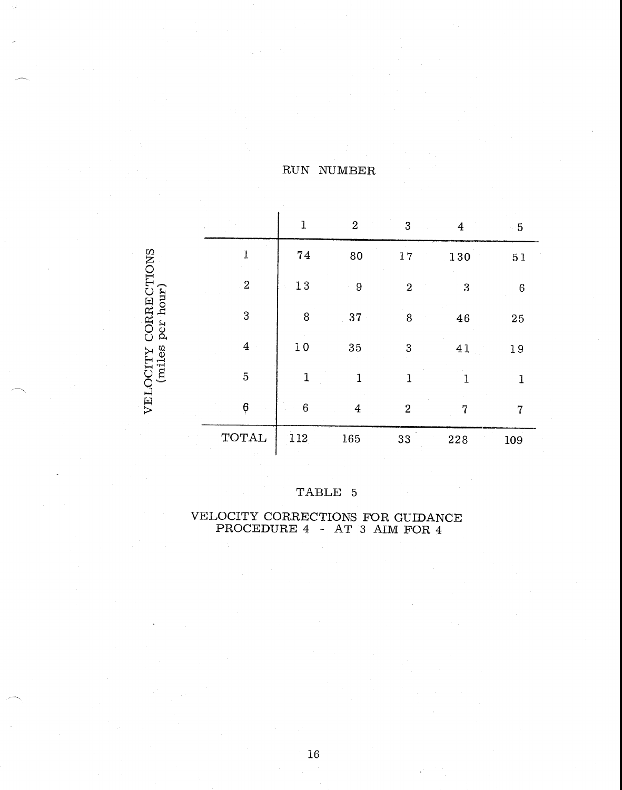| ÷                     | $\mathbf 1$      | $\boldsymbol{2}$ | $\cdot$ 3        | $\overline{4}$ | $-5$         |
|-----------------------|------------------|------------------|------------------|----------------|--------------|
| $\overline{1}$        | ${\bf 74}$       | 80               | 17               | 130            | $5\,1$       |
| $\sqrt{2}$            | $1\,3$           | $\boldsymbol{9}$ | $\overline{2}$   | 3              | $\,6$        |
| $\mathbf 3$           | 8                | 37               | 8                | 46             | 25           |
| $\overline{4}$        | 10               | 35               | 3                | 41             | $1\,9$       |
| 5                     | $\mathbf{1}$     | $\mathbf 1$      | 1                |                | $\mathbf{1}$ |
| $\boldsymbol{\theta}$ | $\boldsymbol{6}$ | $\boldsymbol{4}$ | $\boldsymbol{2}$ | 7              | 7            |
| <b>TOTAL</b>          | 112              | 165              | 33               | 228            | 109          |

## TABLE 5

VELOCITY CORRECTIONS<br>(miles per hour)

#### VELOCITY CORRECTIONS FOR GUIDANCE PROCEDURE 4 — AT 3 AIM FOR 4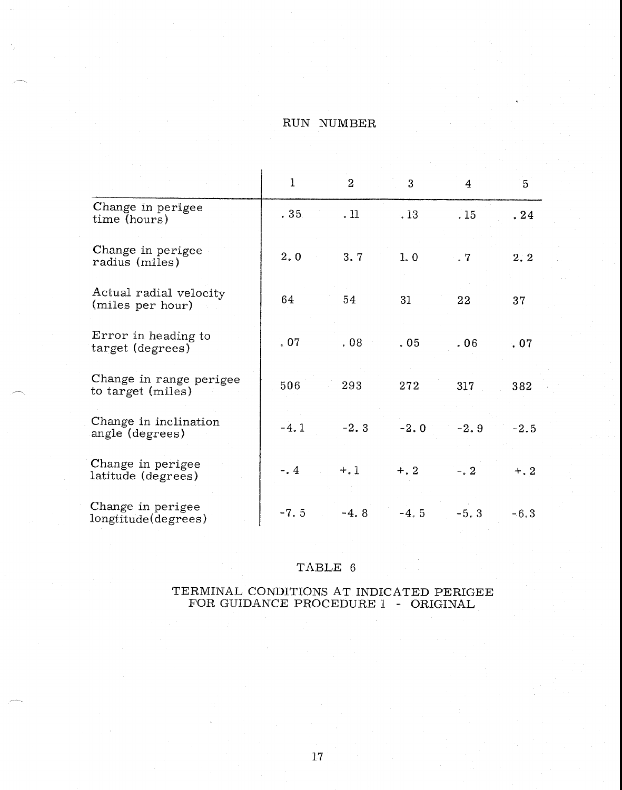|                                              | $\mathbf{I}$     | $\overline{2}$ | 3       | 4           | 5      |
|----------------------------------------------|------------------|----------------|---------|-------------|--------|
| Change in perigee<br>time (hours)            | .35 <sub>1</sub> | .11            | .13     | .15         | .24    |
| Change in perigee<br>radius (miles)          | 2.0              | 3.7            | 1.0     | $\cdot$ . 7 | 2:2    |
| Actual radial velocity<br>(miles per hour)   | 64               | 54             | 31      | 22          | 37     |
| Error in heading to<br>target (degrees)      | .07              | .08            | .05     | .06         | .07    |
| Change in range perigee<br>to target (miles) | 506              | 293            | 272     | 317         | 382    |
| Change in inclination<br>angle (degrees)     | $-4.1$           | $-2.3$         | $-2.0$  | $-2.9$      | $-2.5$ |
| Change in perigee<br>latitude (degrees)      | $-0.4$           | $+, 1$         | $+.2$   | $-2$        | $+, 2$ |
| Change in perigee<br>longtitude(degrees)     | $-7.5$           | $-4.8$         | $-4, 5$ | $-5.3$      | $-6.3$ |

### TABLE 6

#### TERMINAL CONDITIONS AT INDICATED PERIGEE FOR GUIDANCE PROCEDURE 1 - ORIGINAL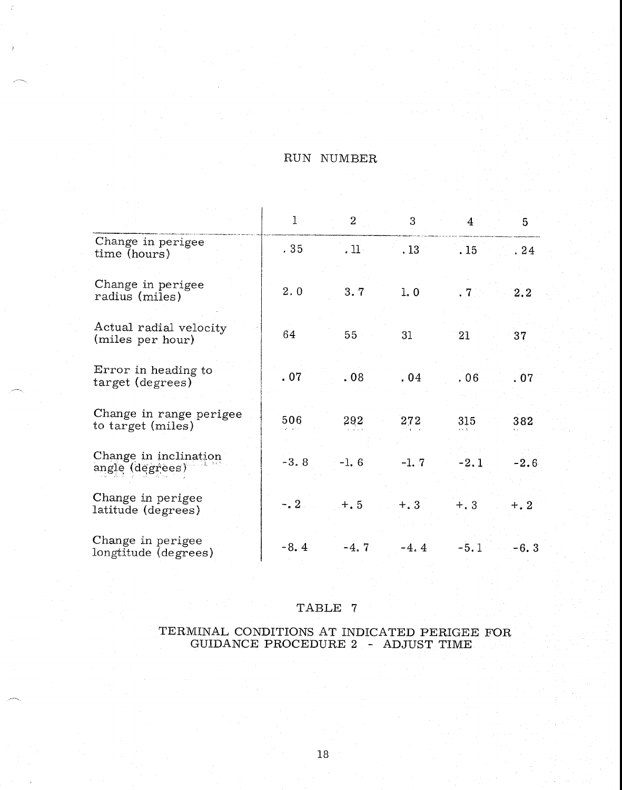|                                              | $\mathbf{1}$ | $\overline{2}$ | 3       | $\overline{4}$ | 5      |
|----------------------------------------------|--------------|----------------|---------|----------------|--------|
| Change in perigee<br>time (hours)            | .35          | .11.           | .13     | .15            | .24    |
| Change in perigee<br>radius (miles)          | 2, 0         | 3.7            | 1.0     | $.7 -$         | 2.2    |
| Actual radial velocity<br>(miles per hour)   | 64           | 55             | 31      | 21             | 37     |
| Error in heading to<br>target (degrees)      | .07          | .08            | .04     | .06            | .07    |
| Change in range perigee<br>to target (miles) | 506          | 292            | 272     | 315            | 382    |
| Change in inclination<br>angle (degrees)     | $-3.8$       | $-1, 6$        | $-1.7$  | $-2.1$         | $-2.6$ |
| Change in perigee<br>latitude (degrees)      | $-2$         | $+, 5$         | $+.3$   | $+, 3$         | $+, 2$ |
| Change in perigee<br>longtitude (degrees)    | $-8.4$       | $-4, 7$        | $-4, 4$ | $-5.1$         | $-6.3$ |

#### TABLE 7

#### TERMINAL CONDITIONS AT INDICATED PERIGEE FOR GUIDANCE PROCEDURE 2 - ADJUST TIME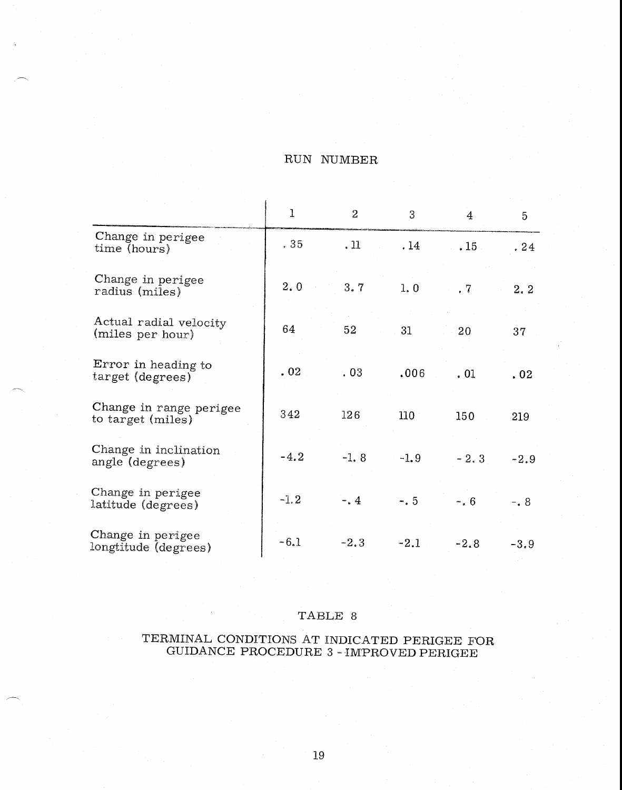|                                              | 1      | $\overline{2}$ | 3      | $\overline{4}$   | 5       |
|----------------------------------------------|--------|----------------|--------|------------------|---------|
| Change in perigee<br>time (hours)            | .35    | .11            | .14    | .15              | .24     |
| Change in perigee<br>radius (miles)          | 2, 0   | 3.7            | 1,0    | .7               | 2.2     |
| Actual radial velocity<br>(miles per hour)   | 64     | 52             | 31     | 20               | 37      |
| Error in heading to<br>target (degrees)      | .02    | .03            | .006   | .01              | .02     |
| Change in range perigee<br>to target (miles) | 342    | 126            | 110    | 150 <sub>1</sub> | 219     |
| Change in inclination<br>angle (degrees)     | $-4.2$ | $-1.8$         | $-1.9$ | $-2.3$           | $-2.9$  |
| Change in perigee<br>latitude (degrees)      | $-1.2$ | $-4$           | $-0.5$ | $-0.6$           | $-$ . 8 |
| Change in perigee<br>longtitude (degrees)    | $-6.1$ | $-2.3$         | $-2.1$ | $-2.8$           | $-3.9$  |

### TABLE 8

#### TERMINAL CONDITIONS AT INDICATED PERIGEE FOR GUIDANCE PROCEDURE 3 - IMPROVED PERIGEE